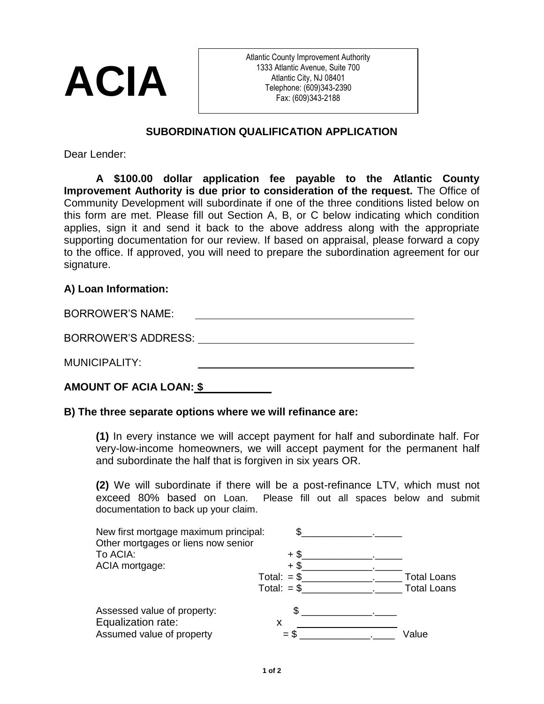

Atlantic County Improvement Authority 1333 Atlantic Avenue, Suite 700 Atlantic City, NJ 08401 Telephone: (609)343-2390 Fax: (609)343-2188

## **SUBORDINATION QUALIFICATION APPLICATION**

Dear Lender:

**A \$100.00 dollar application fee payable to the Atlantic County Improvement Authority is due prior to consideration of the request.** The Office of Community Development will subordinate if one of the three conditions listed below on this form are met. Please fill out Section A, B, or C below indicating which condition applies, sign it and send it back to the above address along with the appropriate supporting documentation for our review. If based on appraisal, please forward a copy to the office. If approved, you will need to prepare the subordination agreement for our signature.

## **A) Loan Information:**

| <b>BORROWER'S NAME:</b> |  |
|-------------------------|--|
| BORROWER'S ADDRESS:     |  |
| MUNICIPALITY:           |  |
|                         |  |

# **AMOUNT OF ACIA LOAN: \$**

#### **B) The three separate options where we will refinance are:**

**(1)** In every instance we will accept payment for half and subordinate half. For very-low-income homeowners, we will accept payment for the permanent half and subordinate the half that is forgiven in six years OR.

**(2)** We will subordinate if there will be a post-refinance LTV, which must not exceed 80% based on Loan. Please fill out all spaces below and submit documentation to back up your claim.

| New first mortgage maximum principal:<br>Other mortgages or liens now senior | ደ.                            |                                          |
|------------------------------------------------------------------------------|-------------------------------|------------------------------------------|
| To ACIA:<br>ACIA mortgage:                                                   | $+$ \$<br>+ \$                |                                          |
|                                                                              | Total: $= $$<br>Total: $=$ \$ | <b>Total Loans</b><br><b>Total Loans</b> |
| Assessed value of property:<br>Equalization rate:                            | \$.<br>X                      |                                          |
| Assumed value of property                                                    |                               | Value                                    |